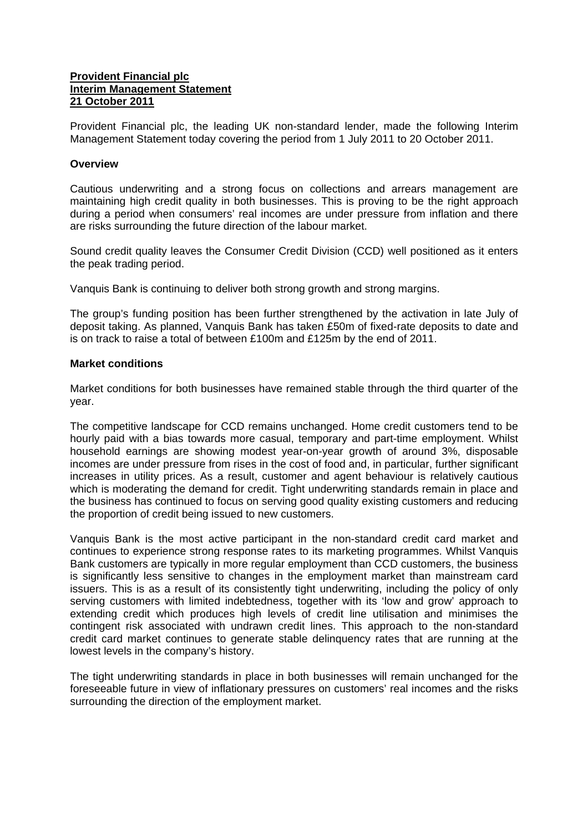## **Provident Financial plc Interim Management Statement 21 October 2011**

Provident Financial plc, the leading UK non-standard lender, made the following Interim Management Statement today covering the period from 1 July 2011 to 20 October 2011.

## **Overview**

Cautious underwriting and a strong focus on collections and arrears management are maintaining high credit quality in both businesses. This is proving to be the right approach during a period when consumers' real incomes are under pressure from inflation and there are risks surrounding the future direction of the labour market.

Sound credit quality leaves the Consumer Credit Division (CCD) well positioned as it enters the peak trading period.

Vanquis Bank is continuing to deliver both strong growth and strong margins.

The group's funding position has been further strengthened by the activation in late July of deposit taking. As planned, Vanquis Bank has taken £50m of fixed-rate deposits to date and is on track to raise a total of between £100m and £125m by the end of 2011.

## **Market conditions**

Market conditions for both businesses have remained stable through the third quarter of the year.

The competitive landscape for CCD remains unchanged. Home credit customers tend to be hourly paid with a bias towards more casual, temporary and part-time employment. Whilst household earnings are showing modest year-on-year growth of around 3%, disposable incomes are under pressure from rises in the cost of food and, in particular, further significant increases in utility prices. As a result, customer and agent behaviour is relatively cautious which is moderating the demand for credit. Tight underwriting standards remain in place and the business has continued to focus on serving good quality existing customers and reducing the proportion of credit being issued to new customers.

Vanquis Bank is the most active participant in the non-standard credit card market and continues to experience strong response rates to its marketing programmes. Whilst Vanquis Bank customers are typically in more regular employment than CCD customers, the business is significantly less sensitive to changes in the employment market than mainstream card issuers. This is as a result of its consistently tight underwriting, including the policy of only serving customers with limited indebtedness, together with its 'low and grow' approach to extending credit which produces high levels of credit line utilisation and minimises the contingent risk associated with undrawn credit lines. This approach to the non-standard credit card market continues to generate stable delinquency rates that are running at the lowest levels in the company's history.

The tight underwriting standards in place in both businesses will remain unchanged for the foreseeable future in view of inflationary pressures on customers' real incomes and the risks surrounding the direction of the employment market.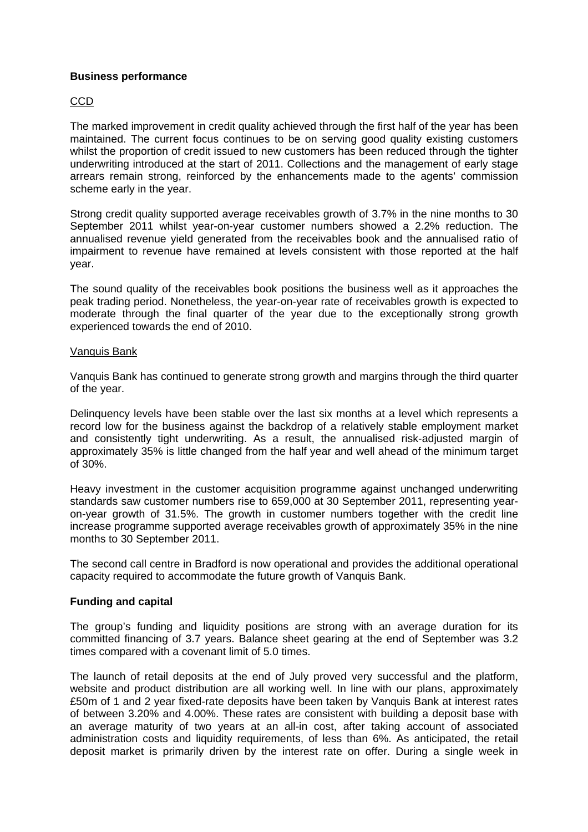## **Business performance**

# CCD

The marked improvement in credit quality achieved through the first half of the year has been maintained. The current focus continues to be on serving good quality existing customers whilst the proportion of credit issued to new customers has been reduced through the tighter underwriting introduced at the start of 2011. Collections and the management of early stage arrears remain strong, reinforced by the enhancements made to the agents' commission scheme early in the year.

Strong credit quality supported average receivables growth of 3.7% in the nine months to 30 September 2011 whilst year-on-year customer numbers showed a 2.2% reduction. The annualised revenue yield generated from the receivables book and the annualised ratio of impairment to revenue have remained at levels consistent with those reported at the half year.

The sound quality of the receivables book positions the business well as it approaches the peak trading period. Nonetheless, the year-on-year rate of receivables growth is expected to moderate through the final quarter of the year due to the exceptionally strong growth experienced towards the end of 2010.

### Vanquis Bank

Vanquis Bank has continued to generate strong growth and margins through the third quarter of the year.

Delinquency levels have been stable over the last six months at a level which represents a record low for the business against the backdrop of a relatively stable employment market and consistently tight underwriting. As a result, the annualised risk-adjusted margin of approximately 35% is little changed from the half year and well ahead of the minimum target of 30%.

Heavy investment in the customer acquisition programme against unchanged underwriting standards saw customer numbers rise to 659,000 at 30 September 2011, representing yearon-year growth of 31.5%. The growth in customer numbers together with the credit line increase programme supported average receivables growth of approximately 35% in the nine months to 30 September 2011.

The second call centre in Bradford is now operational and provides the additional operational capacity required to accommodate the future growth of Vanquis Bank.

### **Funding and capital**

The group's funding and liquidity positions are strong with an average duration for its committed financing of 3.7 years. Balance sheet gearing at the end of September was 3.2 times compared with a covenant limit of 5.0 times.

The launch of retail deposits at the end of July proved very successful and the platform, website and product distribution are all working well. In line with our plans, approximately £50m of 1 and 2 year fixed-rate deposits have been taken by Vanquis Bank at interest rates of between 3.20% and 4.00%. These rates are consistent with building a deposit base with an average maturity of two years at an all-in cost, after taking account of associated administration costs and liquidity requirements, of less than 6%. As anticipated, the retail deposit market is primarily driven by the interest rate on offer. During a single week in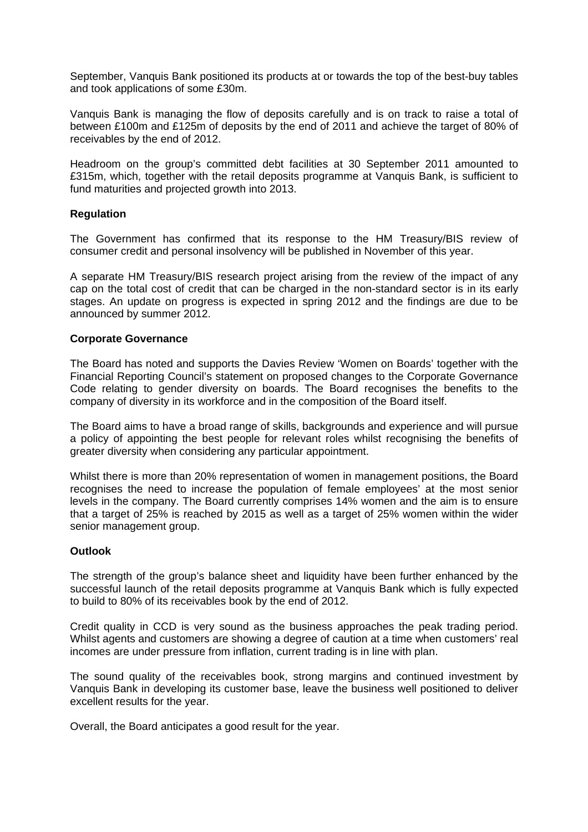September, Vanquis Bank positioned its products at or towards the top of the best-buy tables and took applications of some £30m.

Vanquis Bank is managing the flow of deposits carefully and is on track to raise a total of between £100m and £125m of deposits by the end of 2011 and achieve the target of 80% of receivables by the end of 2012.

Headroom on the group's committed debt facilities at 30 September 2011 amounted to £315m, which, together with the retail deposits programme at Vanquis Bank, is sufficient to fund maturities and projected growth into 2013.

## **Regulation**

The Government has confirmed that its response to the HM Treasury/BIS review of consumer credit and personal insolvency will be published in November of this year.

A separate HM Treasury/BIS research project arising from the review of the impact of any cap on the total cost of credit that can be charged in the non-standard sector is in its early stages. An update on progress is expected in spring 2012 and the findings are due to be announced by summer 2012.

## **Corporate Governance**

The Board has noted and supports the Davies Review 'Women on Boards' together with the Financial Reporting Council's statement on proposed changes to the Corporate Governance Code relating to gender diversity on boards. The Board recognises the benefits to the company of diversity in its workforce and in the composition of the Board itself.

The Board aims to have a broad range of skills, backgrounds and experience and will pursue a policy of appointing the best people for relevant roles whilst recognising the benefits of greater diversity when considering any particular appointment.

Whilst there is more than 20% representation of women in management positions, the Board recognises the need to increase the population of female employees' at the most senior levels in the company. The Board currently comprises 14% women and the aim is to ensure that a target of 25% is reached by 2015 as well as a target of 25% women within the wider senior management group.

### **Outlook**

The strength of the group's balance sheet and liquidity have been further enhanced by the successful launch of the retail deposits programme at Vanquis Bank which is fully expected to build to 80% of its receivables book by the end of 2012.

Credit quality in CCD is very sound as the business approaches the peak trading period. Whilst agents and customers are showing a degree of caution at a time when customers' real incomes are under pressure from inflation, current trading is in line with plan.

The sound quality of the receivables book, strong margins and continued investment by Vanquis Bank in developing its customer base, leave the business well positioned to deliver excellent results for the year.

Overall, the Board anticipates a good result for the year.